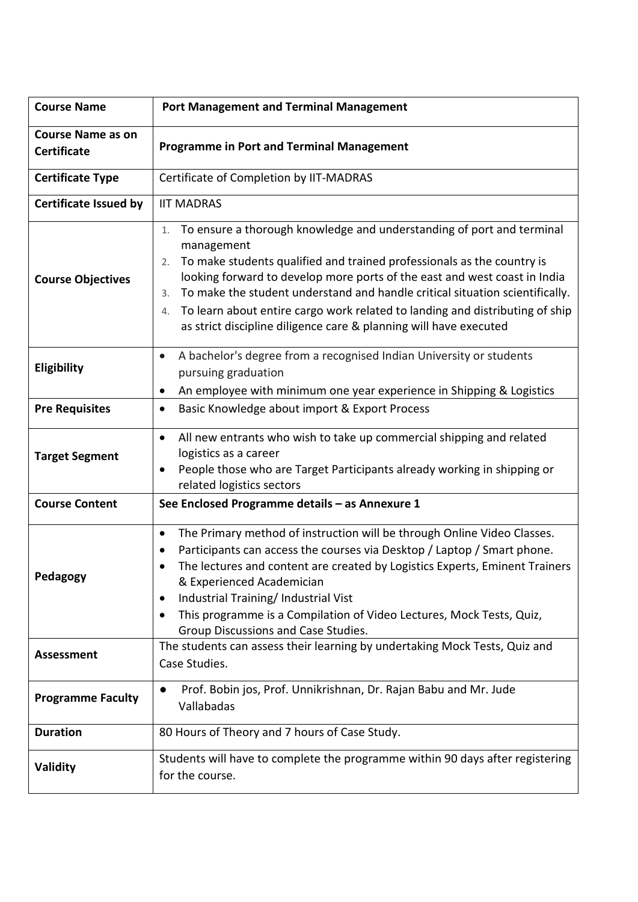| <b>Course Name</b>                             | <b>Port Management and Terminal Management</b>                                                                                                                                                                                                                                                                                                                                                                                                                                                          |  |  |  |
|------------------------------------------------|---------------------------------------------------------------------------------------------------------------------------------------------------------------------------------------------------------------------------------------------------------------------------------------------------------------------------------------------------------------------------------------------------------------------------------------------------------------------------------------------------------|--|--|--|
| <b>Course Name as on</b><br><b>Certificate</b> | <b>Programme in Port and Terminal Management</b>                                                                                                                                                                                                                                                                                                                                                                                                                                                        |  |  |  |
| <b>Certificate Type</b>                        | Certificate of Completion by IIT-MADRAS                                                                                                                                                                                                                                                                                                                                                                                                                                                                 |  |  |  |
| <b>Certificate Issued by</b>                   | <b>IIT MADRAS</b>                                                                                                                                                                                                                                                                                                                                                                                                                                                                                       |  |  |  |
| <b>Course Objectives</b>                       | To ensure a thorough knowledge and understanding of port and terminal<br>1.<br>management<br>To make students qualified and trained professionals as the country is<br>2.<br>looking forward to develop more ports of the east and west coast in India<br>To make the student understand and handle critical situation scientifically.<br>3.<br>To learn about entire cargo work related to landing and distributing of ship<br>4.<br>as strict discipline diligence care & planning will have executed |  |  |  |
| Eligibility                                    | A bachelor's degree from a recognised Indian University or students<br>$\bullet$<br>pursuing graduation<br>An employee with minimum one year experience in Shipping & Logistics<br>$\bullet$                                                                                                                                                                                                                                                                                                            |  |  |  |
| <b>Pre Requisites</b>                          | Basic Knowledge about import & Export Process<br>٠                                                                                                                                                                                                                                                                                                                                                                                                                                                      |  |  |  |
| <b>Target Segment</b>                          | All new entrants who wish to take up commercial shipping and related<br>$\bullet$<br>logistics as a career<br>People those who are Target Participants already working in shipping or<br>$\bullet$<br>related logistics sectors                                                                                                                                                                                                                                                                         |  |  |  |
| <b>Course Content</b>                          | See Enclosed Programme details - as Annexure 1                                                                                                                                                                                                                                                                                                                                                                                                                                                          |  |  |  |
| Pedagogy                                       | The Primary method of instruction will be through Online Video Classes.<br>$\bullet$<br>Participants can access the courses via Desktop / Laptop / Smart phone.<br>The lectures and content are created by Logistics Experts, Eminent Trainers<br>& Experienced Academician<br>Industrial Training/ Industrial Vist<br>٠<br>This programme is a Compilation of Video Lectures, Mock Tests, Quiz,<br>٠<br>Group Discussions and Case Studies.                                                            |  |  |  |
| <b>Assessment</b>                              | The students can assess their learning by undertaking Mock Tests, Quiz and<br>Case Studies.                                                                                                                                                                                                                                                                                                                                                                                                             |  |  |  |
| <b>Programme Faculty</b>                       | Prof. Bobin jos, Prof. Unnikrishnan, Dr. Rajan Babu and Mr. Jude<br>$\bullet$<br>Vallabadas                                                                                                                                                                                                                                                                                                                                                                                                             |  |  |  |
| <b>Duration</b>                                | 80 Hours of Theory and 7 hours of Case Study.                                                                                                                                                                                                                                                                                                                                                                                                                                                           |  |  |  |
| Validity                                       | Students will have to complete the programme within 90 days after registering<br>for the course.                                                                                                                                                                                                                                                                                                                                                                                                        |  |  |  |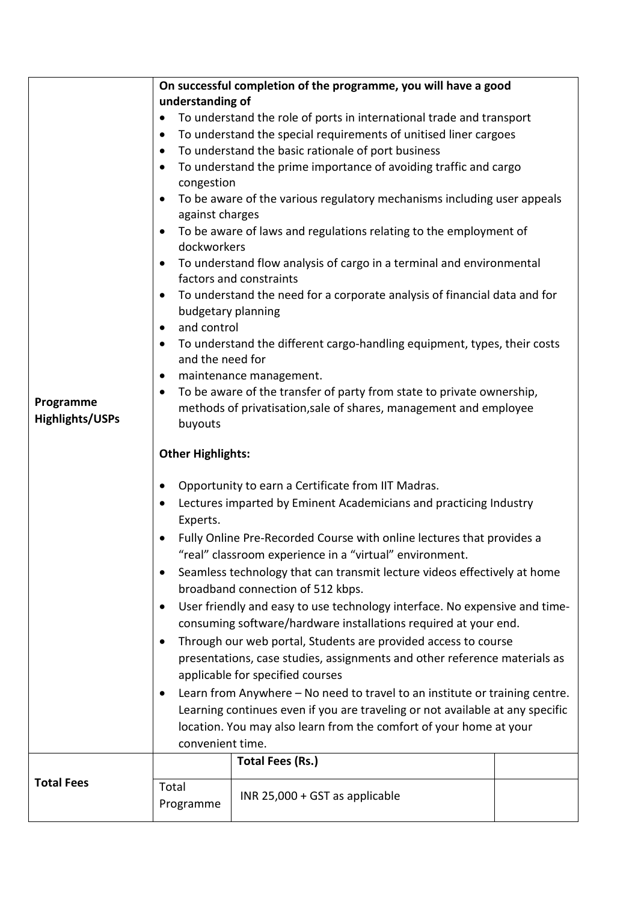|                        | On successful completion of the programme, you will have a good                         |                                                    |  |  |  |  |  |
|------------------------|-----------------------------------------------------------------------------------------|----------------------------------------------------|--|--|--|--|--|
|                        | understanding of                                                                        |                                                    |  |  |  |  |  |
|                        | To understand the role of ports in international trade and transport<br>$\bullet$       |                                                    |  |  |  |  |  |
|                        | To understand the special requirements of unitised liner cargoes<br>$\bullet$           |                                                    |  |  |  |  |  |
|                        | $\bullet$                                                                               | To understand the basic rationale of port business |  |  |  |  |  |
|                        | To understand the prime importance of avoiding traffic and cargo<br>$\bullet$           |                                                    |  |  |  |  |  |
|                        | congestion                                                                              |                                                    |  |  |  |  |  |
|                        | To be aware of the various regulatory mechanisms including user appeals<br>$\bullet$    |                                                    |  |  |  |  |  |
|                        | against charges                                                                         |                                                    |  |  |  |  |  |
|                        | To be aware of laws and regulations relating to the employment of<br>$\bullet$          |                                                    |  |  |  |  |  |
|                        | dockworkers                                                                             |                                                    |  |  |  |  |  |
|                        | To understand flow analysis of cargo in a terminal and environmental<br>$\bullet$       |                                                    |  |  |  |  |  |
|                        | factors and constraints                                                                 |                                                    |  |  |  |  |  |
|                        | To understand the need for a corporate analysis of financial data and for<br>$\bullet$  |                                                    |  |  |  |  |  |
|                        | budgetary planning<br>and control<br>$\bullet$                                          |                                                    |  |  |  |  |  |
|                        | To understand the different cargo-handling equipment, types, their costs<br>$\bullet$   |                                                    |  |  |  |  |  |
|                        | and the need for                                                                        |                                                    |  |  |  |  |  |
|                        | maintenance management.<br>$\bullet$                                                    |                                                    |  |  |  |  |  |
|                        | To be aware of the transfer of party from state to private ownership,<br>$\bullet$      |                                                    |  |  |  |  |  |
| Programme              | methods of privatisation, sale of shares, management and employee                       |                                                    |  |  |  |  |  |
| <b>Highlights/USPs</b> | buyouts                                                                                 |                                                    |  |  |  |  |  |
|                        |                                                                                         |                                                    |  |  |  |  |  |
|                        | <b>Other Highlights:</b>                                                                |                                                    |  |  |  |  |  |
|                        | Opportunity to earn a Certificate from IIT Madras.<br>٠                                 |                                                    |  |  |  |  |  |
|                        | Lectures imparted by Eminent Academicians and practicing Industry<br>٠                  |                                                    |  |  |  |  |  |
|                        | Experts.                                                                                |                                                    |  |  |  |  |  |
|                        | Fully Online Pre-Recorded Course with online lectures that provides a                   |                                                    |  |  |  |  |  |
|                        | "real" classroom experience in a "virtual" environment.                                 |                                                    |  |  |  |  |  |
|                        | Seamless technology that can transmit lecture videos effectively at home<br>٠           |                                                    |  |  |  |  |  |
|                        | broadband connection of 512 kbps.                                                       |                                                    |  |  |  |  |  |
|                        | User friendly and easy to use technology interface. No expensive and time-<br>$\bullet$ |                                                    |  |  |  |  |  |
|                        | consuming software/hardware installations required at your end.                         |                                                    |  |  |  |  |  |
|                        | Through our web portal, Students are provided access to course<br>٠                     |                                                    |  |  |  |  |  |
|                        | presentations, case studies, assignments and other reference materials as               |                                                    |  |  |  |  |  |
|                        | applicable for specified courses                                                        |                                                    |  |  |  |  |  |
|                        | Learn from Anywhere - No need to travel to an institute or training centre.<br>٠        |                                                    |  |  |  |  |  |
|                        | Learning continues even if you are traveling or not available at any specific           |                                                    |  |  |  |  |  |
|                        | location. You may also learn from the comfort of your home at your                      |                                                    |  |  |  |  |  |
|                        | convenient time.                                                                        |                                                    |  |  |  |  |  |
|                        |                                                                                         | <b>Total Fees (Rs.)</b>                            |  |  |  |  |  |
| <b>Total Fees</b>      | Total                                                                                   |                                                    |  |  |  |  |  |
|                        | Programme                                                                               | INR 25,000 + GST as applicable                     |  |  |  |  |  |
|                        |                                                                                         |                                                    |  |  |  |  |  |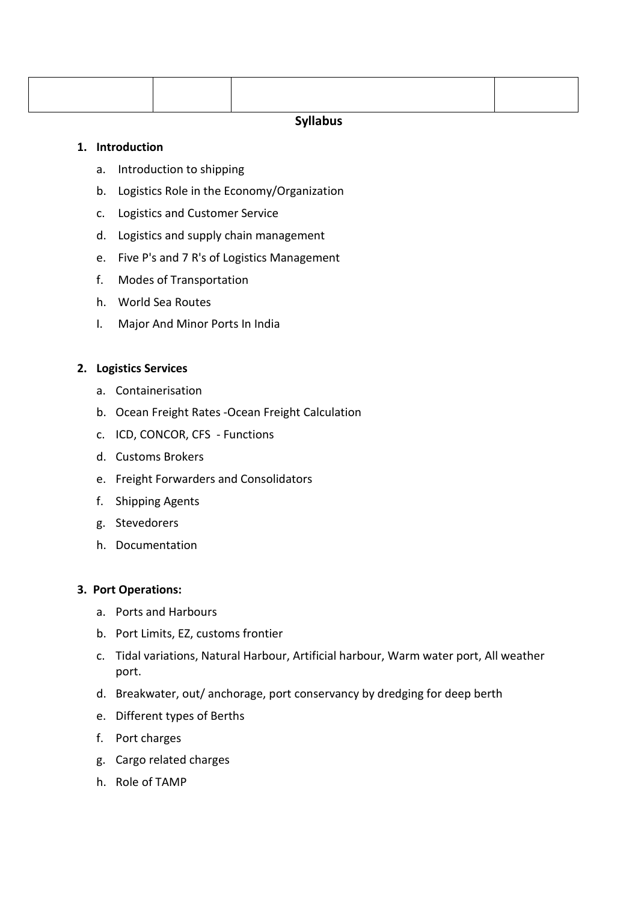# **Syllabus**

# **1. Introduction**

- a. Introduction to shipping
- b. Logistics Role in the Economy/Organization
- c. Logistics and Customer Service
- d. Logistics and supply chain management
- e. Five P's and 7 R's of Logistics Management
- f. Modes of Transportation
- h. World Sea Routes
- I. Major And Minor Ports In India

# **2. Logistics Services**

- a. Containerisation
- b. Ocean Freight Rates -Ocean Freight Calculation
- c. ICD, CONCOR, CFS Functions
- d. Customs Brokers
- e. Freight Forwarders and Consolidators
- f. Shipping Agents
- g. Stevedorers
- h. Documentation

#### **3. Port Operations:**

- a. Ports and Harbours
- b. Port Limits, EZ, customs frontier
- c. Tidal variations, Natural Harbour, Artificial harbour, Warm water port, All weather port.
- d. Breakwater, out/ anchorage, port conservancy by dredging for deep berth
- e. Different types of Berths
- f. Port charges
- g. Cargo related charges
- h. Role of TAMP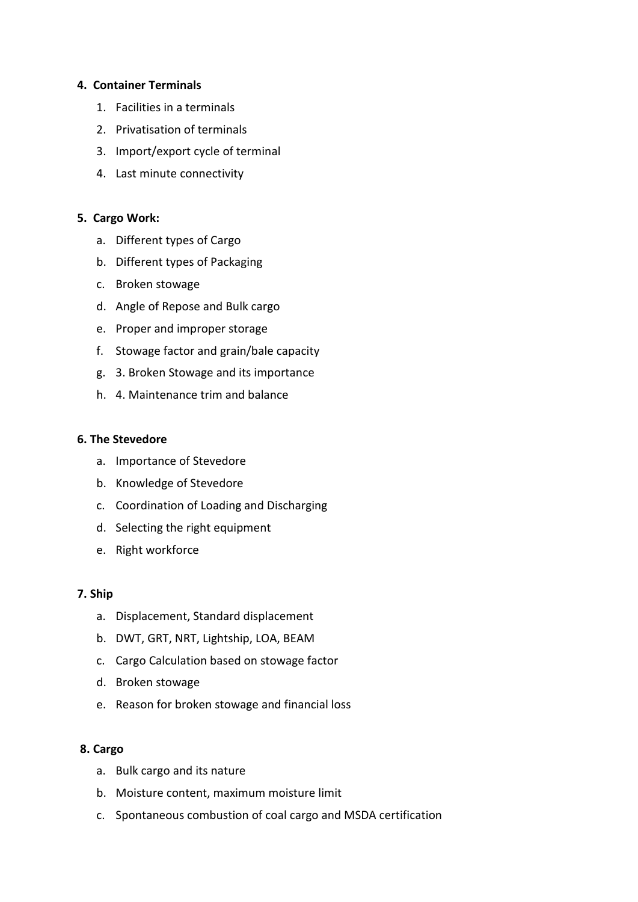# **4. Container Terminals**

- 1. Facilities in a terminals
- 2. Privatisation of terminals
- 3. Import/export cycle of terminal
- 4. Last minute connectivity

# **5. Cargo Work:**

- a. Different types of Cargo
- b. Different types of Packaging
- c. Broken stowage
- d. Angle of Repose and Bulk cargo
- e. Proper and improper storage
- f. Stowage factor and grain/bale capacity
- g. 3. Broken Stowage and its importance
- h. 4. Maintenance trim and balance

#### **6. The Stevedore**

- a. Importance of Stevedore
- b. Knowledge of Stevedore
- c. Coordination of Loading and Discharging
- d. Selecting the right equipment
- e. Right workforce

#### **7. Ship**

- a. Displacement, Standard displacement
- b. DWT, GRT, NRT, Lightship, LOA, BEAM
- c. Cargo Calculation based on stowage factor
- d. Broken stowage
- e. Reason for broken stowage and financial loss

#### **8. Cargo**

- a. Bulk cargo and its nature
- b. Moisture content, maximum moisture limit
- c. Spontaneous combustion of coal cargo and MSDA certification